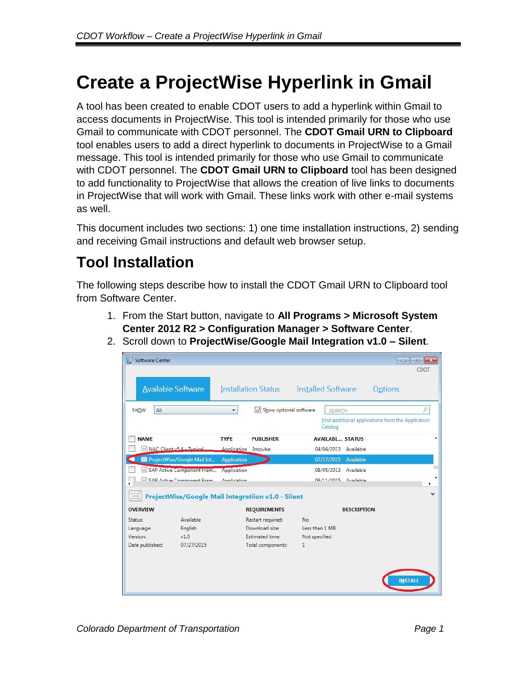# **Create a ProjectWise Hyperlink in Gmail**

A tool has been created to enable CDOT users to add a hyperlink within Gmail to access documents in ProjectWise. This tool is intended primarily for those who use Gmail to communicate with CDOT personnel. The **CDOT Gmail URN to Clipboard** tool enables users to add a direct hyperlink to documents in ProjectWise to a Gmail message. This tool is intended primarily for those who use Gmail to communicate with CDOT personnel. The **CDOT Gmail URN to Clipboard** tool has been designed to add functionality to ProjectWise that allows the creation of live links to documents in ProjectWise that will work with Gmail. These links work with other e-mail systems as well.

This document includes two sections: 1) one time installation instructions, 2) sending and receiving Gmail instructions and default web browser setup.

# **Tool Installation**

The following steps describe how to install the CDOT Gmail URN to Clipboard tool from Software Center.

- 1. From the Start button, navigate to **All Programs > Microsoft System Center 2012 R2 > Configuration Manager > Software Center**.
- 2. Scroll down to **ProjectWise/Google Mail Integration v1.0 – Silent**.

| Software Center |                                                    |                            |                        |                           |               |                        |                                                   | $\begin{array}{c c c c c c} \hline \multicolumn{3}{c }{\mathbf{C}} & \multicolumn{3}{c }{\mathbf{X}} \end{array}$ |
|-----------------|----------------------------------------------------|----------------------------|------------------------|---------------------------|---------------|------------------------|---------------------------------------------------|-------------------------------------------------------------------------------------------------------------------|
|                 |                                                    |                            |                        |                           |               |                        |                                                   | <b>CDOT</b>                                                                                                       |
|                 | <b>Available Software</b>                          | <b>Installation Status</b> |                        | <b>Installed Software</b> |               |                        | Options                                           |                                                                                                                   |
| <b>SHOW</b>     | All                                                | ▼                          | Show optional software |                           | <b>SEARCH</b> |                        |                                                   | ρ                                                                                                                 |
|                 |                                                    |                            |                        |                           | Catalog       |                        | Find additional applications from the Application |                                                                                                                   |
| <b>NAME</b>     |                                                    | <b>TYPE</b>                | <b>PUBLISHER</b>       |                           |               | <b>AVAILABL STATUS</b> |                                                   |                                                                                                                   |
|                 | NAC Client v5.4 - Typical                          | Application                | Impulse                |                           | 04/04/2013    | Available              |                                                   |                                                                                                                   |
|                 | ProjectWise/Google Mail Int                        | Application                |                        |                           | 07/27/2015    | Available              |                                                   |                                                                                                                   |
|                 | SAP Active Component Fram                          | Application                |                        |                           |               | 08/05/2013 Available   |                                                   |                                                                                                                   |
|                 | CAD Active Component Fram                          | Annlication                |                        |                           |               | 06/11/2015 Available   |                                                   |                                                                                                                   |
|                 | ProjectWise/Google Mail Integratiion v1.0 - Silent |                            |                        |                           |               |                        |                                                   | v                                                                                                                 |
| <b>OVERVIEW</b> |                                                    |                            | <b>REQUIREMENTS</b>    |                           |               | <b>DESCRIPTION</b>     |                                                   |                                                                                                                   |
| Status:         | Available                                          |                            | Restart required:      | No                        |               |                        |                                                   |                                                                                                                   |
| Language:       | English                                            |                            | Download size:         | Less than 1 MB            |               |                        |                                                   |                                                                                                                   |
| Version:        | v1.0                                               |                            | <b>Estimated time:</b> | Not specified             |               |                        |                                                   |                                                                                                                   |
| Date published: | 07/27/2015                                         |                            | Total components:      | 1                         |               |                        |                                                   |                                                                                                                   |
|                 |                                                    |                            |                        |                           |               |                        |                                                   |                                                                                                                   |
|                 |                                                    |                            |                        |                           |               |                        |                                                   |                                                                                                                   |
|                 |                                                    |                            |                        |                           |               |                        |                                                   | <b>INSTALL</b>                                                                                                    |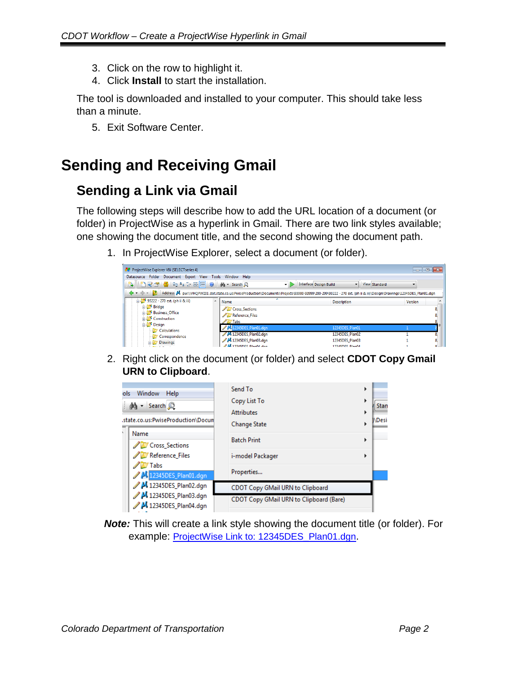- 3. Click on the row to highlight it.
- 4. Click **Install** to start the installation.

The tool is downloaded and installed to your computer. This should take less than a minute.

5. Exit Software Center.

## **Sending and Receiving Gmail**

#### **Sending a Link via Gmail**

The following steps will describe how to add the URL location of a document (or folder) in ProjectWise as a hyperlink in Gmail. There are two link styles available; one showing the document title, and the second showing the document path.

1. In ProjectWise Explorer, select a document (or folder).



2. Right click on the document (or folder) and select **CDOT Copy Gmail URN to Clipboard**.

| ols<br>Window<br>Help<br>do - Search<br>.state.co.us:PwiseProduction\Docun<br>Name<br>Cross_Sections<br>Reference Files<br>Tabs<br>12345DES_Plan01.dgn | Send To<br>Copy List To<br><b>Attributes</b><br><b>Change State</b><br><b>Batch Print</b><br>i-model Packager<br>Properties | ▶<br>▶<br>▶ | Sta<br>Des |
|--------------------------------------------------------------------------------------------------------------------------------------------------------|-----------------------------------------------------------------------------------------------------------------------------|-------------|------------|
| / M 12345DES_Plan02.dgn                                                                                                                                | CDOT Copy GMail URN to Clipboard                                                                                            |             |            |
| / L 12345DES_Plan03.dgn<br>12345DES_Plan04.dgn                                                                                                         | CDOT Copy GMail URN to Clipboard (Bare)                                                                                     |             |            |

*Note:* This will create a link style showing the document title (or folder). For example: ProjectWise Link to: 12345DES\_Plan01.dgn.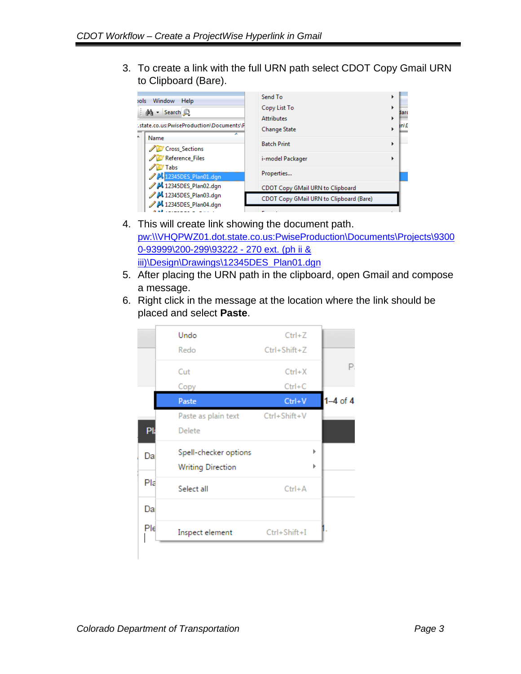3. To create a link with the full URN path select CDOT Copy Gmail URN to Clipboard (Bare).



- 4. This will create link showing the document path. pw:\\VHQPWZ01.dot.state.co.us:PwiseProduction\Documents\Projects\9300 0-93999\200-299\93222 - 270 ext. (ph ii & iii)\Design\Drawings\12345DES\_Plan01.dgn
- 5. After placing the URN path in the clipboard, open Gmail and compose a message.
- 6. Right click in the message at the location where the link should be placed and select **Paste**.

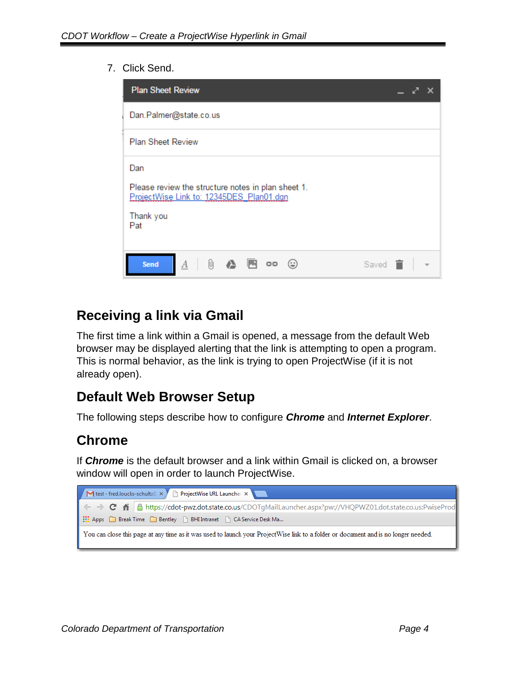7. Click Send.

| <b>Plan Sheet Review</b>                                                                                                                                                                                                                                                                                                                                                    |  |  |  |
|-----------------------------------------------------------------------------------------------------------------------------------------------------------------------------------------------------------------------------------------------------------------------------------------------------------------------------------------------------------------------------|--|--|--|
| Dan.Palmer@state.co.us                                                                                                                                                                                                                                                                                                                                                      |  |  |  |
| <b>Plan Sheet Review</b>                                                                                                                                                                                                                                                                                                                                                    |  |  |  |
| Dan<br>Please review the structure notes in plan sheet 1.<br>ProjectWise Link to: 12345DES Plan01.dqn<br>Thank you<br>Pat                                                                                                                                                                                                                                                   |  |  |  |
| $\underline{A}$ $\begin{bmatrix} 0 \\ 0 \end{bmatrix}$ $\begin{bmatrix} A \\ C \end{bmatrix}$ . Eqn. and $\underline{A}$ . Then $\underline{A}$ is a set of $\underline{A}$ is a set of $\underline{A}$ is a set of $\underline{A}$ is a set of $\underline{A}$ is a set of $\underline{A}$ is a set of $\underline{A}$ is a set of<br>Saved<br><b>Send</b><br>$(\ddot{•})$ |  |  |  |

#### **Receiving a link via Gmail**

The first time a link within a Gmail is opened, a message from the default Web browser may be displayed alerting that the link is attempting to open a program. This is normal behavior, as the link is trying to open ProjectWise (if it is not already open).

#### **Default Web Browser Setup**

The following steps describe how to configure *Chrome* and *Internet Explorer*.

#### **Chrome**

If *Chrome* is the default browser and a link within Gmail is clicked on, a browser window will open in order to launch ProjectWise.

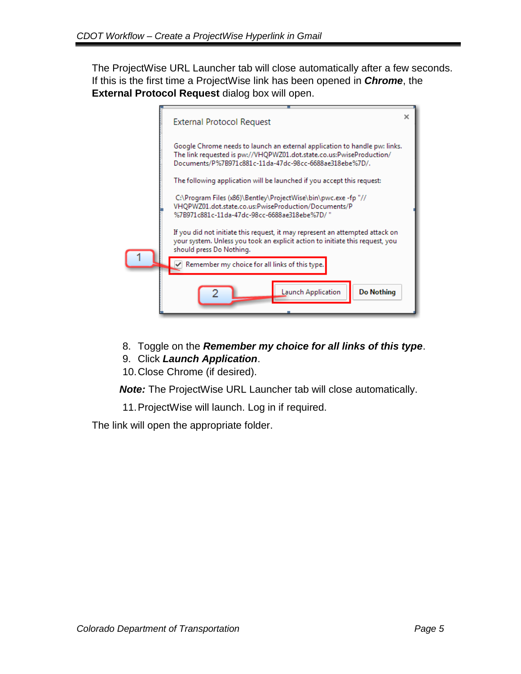The ProjectWise URL Launcher tab will close automatically after a few seconds. If this is the first time a ProjectWise link has been opened in *Chrome*, the **External Protocol Request** dialog box will open.



- 8. Toggle on the *Remember my choice for all links of this type*.
- 9. Click *Launch Application*.
- 10.Close Chrome (if desired).

*Note:* The ProjectWise URL Launcher tab will close automatically.

11.ProjectWise will launch. Log in if required.

The link will open the appropriate folder.